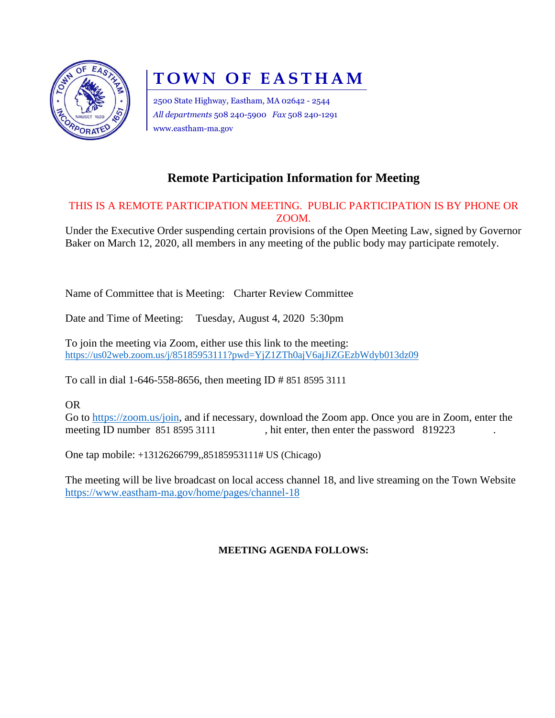

# **TOWN OF EASTHAM**

2500 State Highway, Eastham, MA 02642 - 2544 *All departments* 508 240-5900 *Fax* 508 240-1291 www.eastham-ma.gov

# **Remote Participation Information for Meeting**

# THIS IS A REMOTE PARTICIPATION MEETING. PUBLIC PARTICIPATION IS BY PHONE OR ZOOM.

Under the Executive Order suspending certain provisions of the Open Meeting Law, signed by Governor Baker on March 12, 2020, all members in any meeting of the public body may participate remotely.

Name of Committee that is Meeting: Charter Review Committee

Date and Time of Meeting: Tuesday, August 4, 2020 5:30pm

To join the meeting via Zoom, either use this link to the meeting: <https://us02web.zoom.us/j/85185953111?pwd=YjZ1ZTh0ajV6ajJiZGEzbWdyb013dz09>

To call in dial 1-646-558-8656, then meeting ID # 851 8595 3111

OR

Go to [https://zoom.us/join,](https://zoom.us/join) and if necessary, download the Zoom app. Once you are in Zoom, enter the meeting ID number 851 8595 3111 , hit enter, then enter the password 819223

One tap mobile: +13126266799,,85185953111# US (Chicago)

The meeting will be live broadcast on local access channel 18, and live streaming on the Town Website <https://www.eastham-ma.gov/home/pages/channel-18>

## **MEETING AGENDA FOLLOWS:**